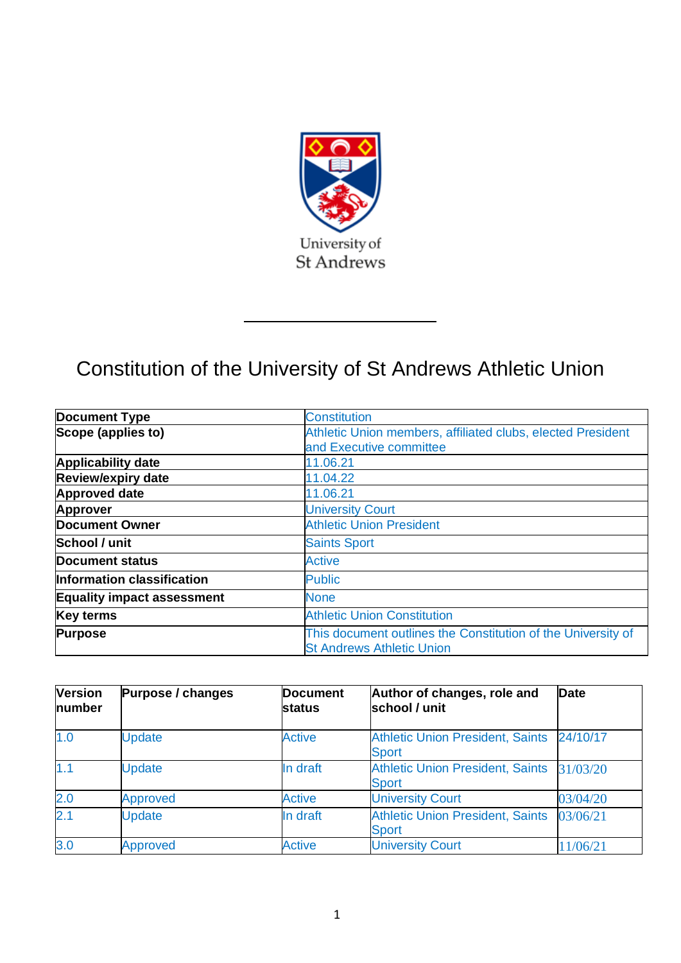

# Constitution of the University of St Andrews Athletic Union

| <b>Document Type</b>              | <b>Constitution</b>                                                                              |
|-----------------------------------|--------------------------------------------------------------------------------------------------|
| Scope (applies to)                | Athletic Union members, affiliated clubs, elected President                                      |
|                                   | and Executive committee                                                                          |
| <b>Applicability date</b>         | 11.06.21                                                                                         |
| <b>Review/expiry date</b>         | 11.04.22                                                                                         |
| <b>Approved date</b>              | 11.06.21                                                                                         |
| <b>Approver</b>                   | <b>University Court</b>                                                                          |
| <b>Document Owner</b>             | <b>Athletic Union President</b>                                                                  |
| School / unit                     | <b>Saints Sport</b>                                                                              |
| <b>Document status</b>            | <b>Active</b>                                                                                    |
| Information classification        | <b>Public</b>                                                                                    |
| <b>Equality impact assessment</b> | <b>None</b>                                                                                      |
| <b>Key terms</b>                  | <b>Athletic Union Constitution</b>                                                               |
| <b>Purpose</b>                    | This document outlines the Constitution of the University of<br><b>St Andrews Athletic Union</b> |

| <b>Version</b><br>number | Purpose / changes | <b>Document</b><br><b>status</b> | Author of changes, role and<br>school / unit            | <b>Date</b> |
|--------------------------|-------------------|----------------------------------|---------------------------------------------------------|-------------|
| 1.0                      | <b>Update</b>     | <b>Active</b>                    | <b>Athletic Union President, Saints</b><br><b>Sport</b> | 24/10/17    |
| 1.1                      | <b>Update</b>     | In draft                         | <b>Athletic Union President, Saints</b><br><b>Sport</b> | 31/03/20    |
| 2.0                      | <b>Approved</b>   | <b>Active</b>                    | <b>University Court</b>                                 | 03/04/20    |
| 2.1                      | <b>Update</b>     | In draft                         | <b>Athletic Union President, Saints</b><br><b>Sport</b> | 03/06/21    |
| 3.0                      | <b>Approved</b>   | <b>Active</b>                    | <b>University Court</b>                                 | 11/06/21    |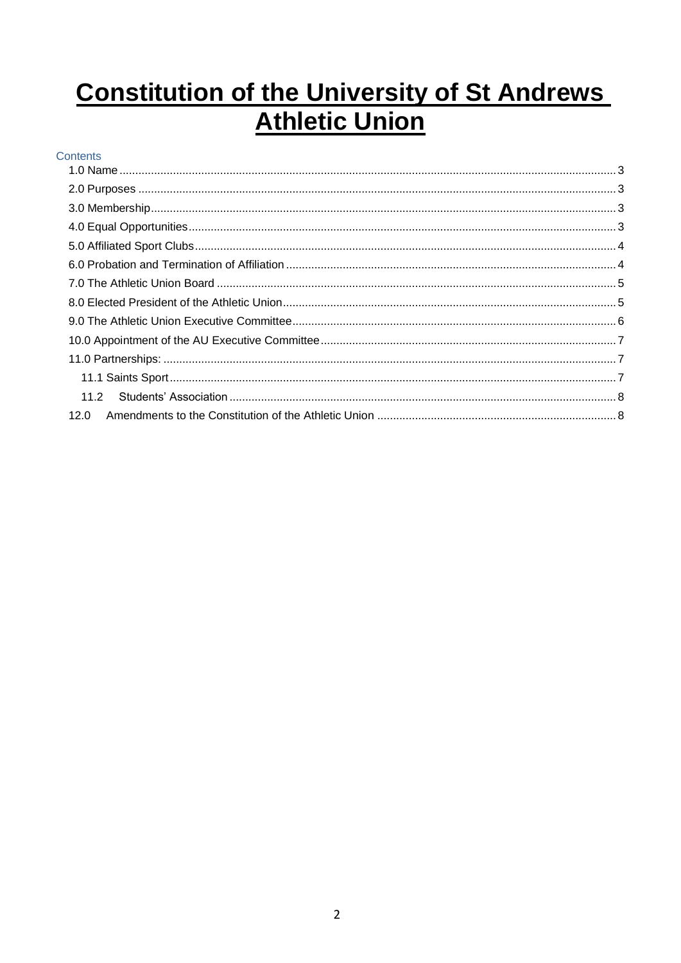# **Constitution of the University of St Andrews Athletic Union**

# Contents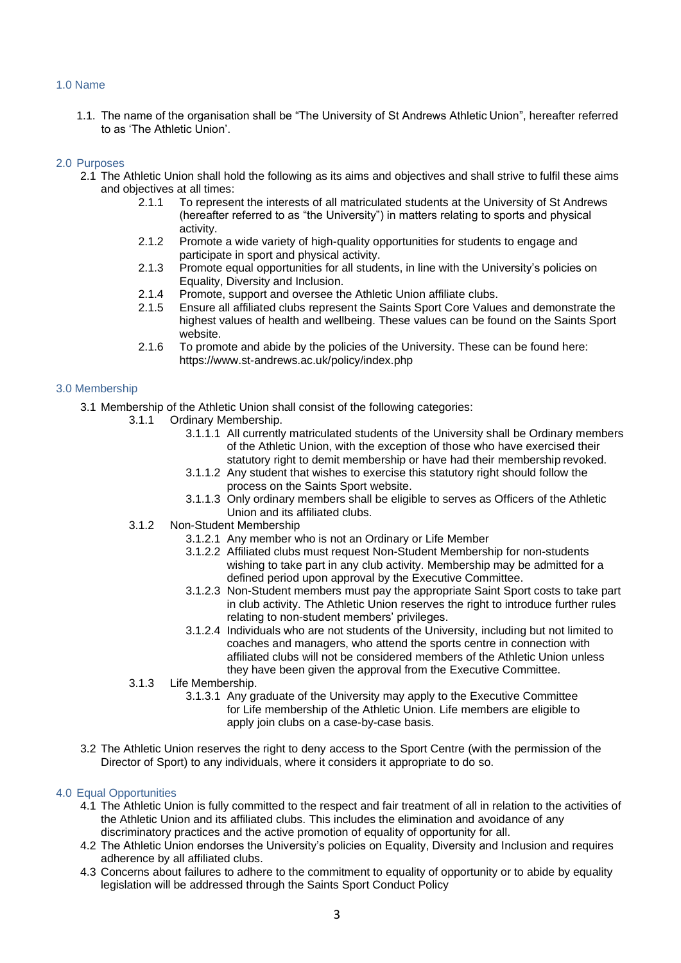# <span id="page-2-0"></span>1.0 Name

1.1. The name of the organisation shall be "The University of St Andrews Athletic Union", hereafter referred to as 'The Athletic Union'.

# <span id="page-2-1"></span>2.0 Purposes

- 2.1 The Athletic Union shall hold the following as its aims and objectives and shall strive to fulfil these aims and objectives at all times:
	- 2.1.1 To represent the interests of all matriculated students at the University of St Andrews (hereafter referred to as "the University") in matters relating to sports and physical activity.
	- 2.1.2 Promote a wide variety of high-quality opportunities for students to engage and participate in sport and physical activity.
	- 2.1.3 Promote equal opportunities for all students, in line with the University's policies on Equality, Diversity and Inclusion.
	- 2.1.4 Promote, support and oversee the Athletic Union affiliate clubs.
	- 2.1.5 Ensure all affiliated clubs represent the Saints Sport Core Values and demonstrate the highest values of health and wellbeing. These values can be found on the Saints Sport website.
	- 2.1.6 To promote and abide by the policies of the University. These can be found here: https://www.st-andrews.ac.uk/policy/index.php

### <span id="page-2-2"></span>3.0 Membership

- 3.1 Membership of the Athletic Union shall consist of the following categories:
	- 3.1.1 Ordinary Membership.
		- 3.1.1.1 All currently matriculated students of the University shall be Ordinary members of the Athletic Union, with the exception of those who have exercised their statutory right to demit membership or have had their membership revoked.
		- 3.1.1.2 Any student that wishes to exercise this statutory right should follow the process on the Saints Sport website.
		- 3.1.1.3 Only ordinary members shall be eligible to serves as Officers of the Athletic Union and its affiliated clubs.
	- 3.1.2 Non-Student Membership
		- 3.1.2.1 Any member who is not an Ordinary or Life Member
		- 3.1.2.2 Affiliated clubs must request Non-Student Membership for non-students wishing to take part in any club activity. Membership may be admitted for a defined period upon approval by the Executive Committee.
		- 3.1.2.3 Non-Student members must pay the appropriate Saint Sport costs to take part in club activity. The Athletic Union reserves the right to introduce further rules relating to non-student members' privileges.
		- 3.1.2.4 Individuals who are not students of the University, including but not limited to coaches and managers, who attend the sports centre in connection with affiliated clubs will not be considered members of the Athletic Union unless they have been given the approval from the Executive Committee.
	- 3.1.3 Life Membership.
		- 3.1.3.1 Any graduate of the University may apply to the Executive Committee for Life membership of the Athletic Union. Life members are eligible to apply join clubs on a case-by-case basis.
- 3.2 The Athletic Union reserves the right to deny access to the Sport Centre (with the permission of the Director of Sport) to any individuals, where it considers it appropriate to do so.

### <span id="page-2-3"></span>4.0 Equal Opportunities

- 4.1 The Athletic Union is fully committed to the respect and fair treatment of all in relation to the activities of the Athletic Union and its affiliated clubs. This includes the elimination and avoidance of any discriminatory practices and the active promotion of equality of opportunity for all.
- 4.2 The Athletic Union endorses the University's policies on Equality, Diversity and Inclusion and requires adherence by all affiliated clubs.
- 4.3 Concerns about failures to adhere to the commitment to equality of opportunity or to abide by equality legislation will be addressed through the Saints Sport Conduct Policy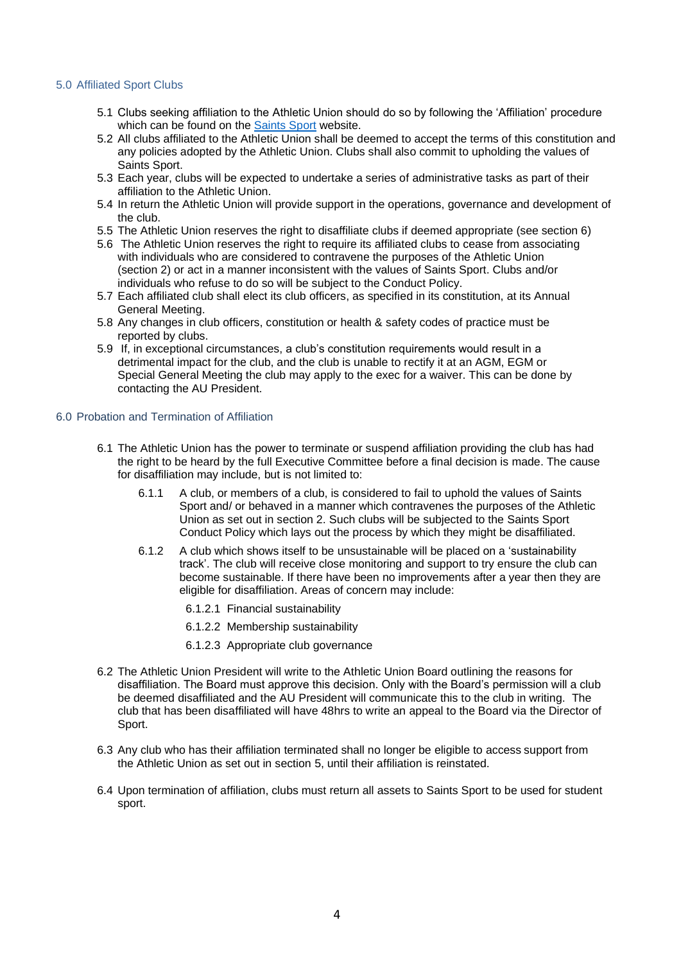# <span id="page-3-0"></span>5.0 Affiliated Sport Clubs

- 5.1 Clubs seeking affiliation to the Athletic Union should do so by following the 'Affiliation' procedure which can be found on the [Saints Sport](https://www.st-andrews.ac.uk/sport/) website.
- 5.2 All clubs affiliated to the Athletic Union shall be deemed to accept the terms of this constitution and any policies adopted by the Athletic Union. Clubs shall also commit to upholding the values of Saints Sport.
- 5.3 Each year, clubs will be expected to undertake a series of administrative tasks as part of their affiliation to the Athletic Union.
- 5.4 In return the Athletic Union will provide support in the operations, governance and development of the club.
- 5.5 The Athletic Union reserves the right to disaffiliate clubs if deemed appropriate (see section 6)
- 5.6 The Athletic Union reserves the right to require its affiliated clubs to cease from associating with individuals who are considered to contravene the purposes of the Athletic Union (section 2) or act in a manner inconsistent with the values of Saints Sport. Clubs and/or individuals who refuse to do so will be subject to the Conduct Policy.
- 5.7 Each affiliated club shall elect its club officers, as specified in its constitution, at its Annual General Meeting.
- 5.8 Any changes in club officers, constitution or health & safety codes of practice must be reported by clubs.
- 5.9 If, in exceptional circumstances, a club's constitution requirements would result in a detrimental impact for the club, and the club is unable to rectify it at an AGM, EGM or Special General Meeting the club may apply to the exec for a waiver. This can be done by contacting the AU President.

#### <span id="page-3-1"></span>6.0 Probation and Termination of Affiliation

- 6.1 The Athletic Union has the power to terminate or suspend affiliation providing the club has had the right to be heard by the full Executive Committee before a final decision is made. The cause for disaffiliation may include, but is not limited to:
	- 6.1.1 A club, or members of a club, is considered to fail to uphold the values of Saints Sport and/ or behaved in a manner which contravenes the purposes of the Athletic Union as set out in section 2. Such clubs will be subjected to the Saints Sport Conduct Policy which lays out the process by which they might be disaffiliated.
	- 6.1.2 A club which shows itself to be unsustainable will be placed on a 'sustainability track'. The club will receive close monitoring and support to try ensure the club can become sustainable. If there have been no improvements after a year then they are eligible for disaffiliation. Areas of concern may include:
		- 6.1.2.1 Financial sustainability
		- 6.1.2.2 Membership sustainability
		- 6.1.2.3 Appropriate club governance
- 6.2 The Athletic Union President will write to the Athletic Union Board outlining the reasons for disaffiliation. The Board must approve this decision. Only with the Board's permission will a club be deemed disaffiliated and the AU President will communicate this to the club in writing. The club that has been disaffiliated will have 48hrs to write an appeal to the Board via the Director of Sport.
- 6.3 Any club who has their affiliation terminated shall no longer be eligible to access support from the Athletic Union as set out in section 5, until their affiliation is reinstated.
- 6.4 Upon termination of affiliation, clubs must return all assets to Saints Sport to be used for student sport.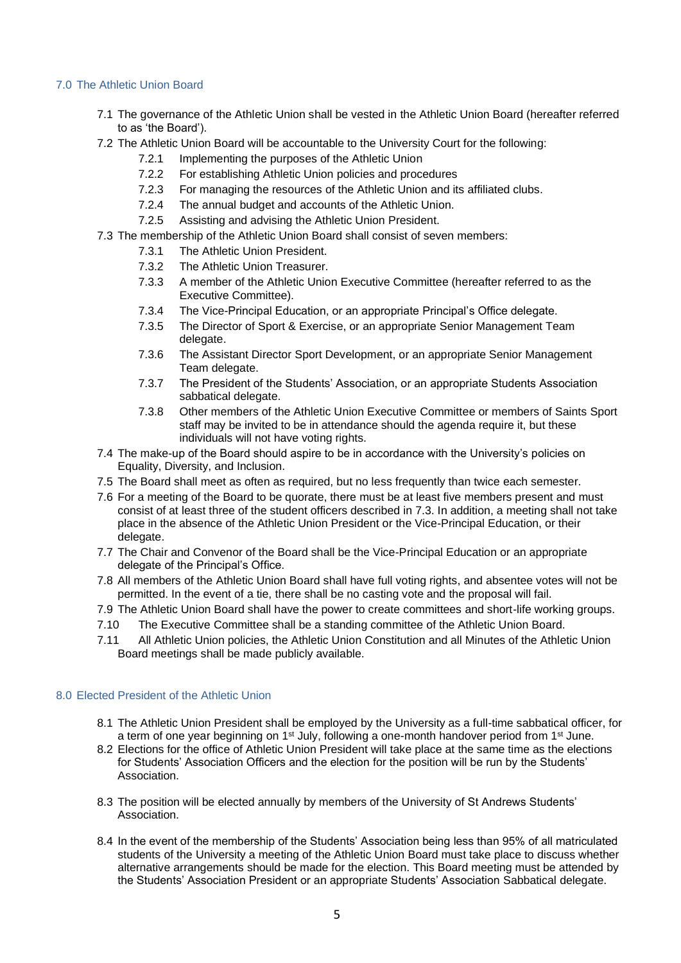# <span id="page-4-0"></span>7.0 The Athletic Union Board

- 7.1 The governance of the Athletic Union shall be vested in the Athletic Union Board (hereafter referred to as 'the Board').
- 7.2 The Athletic Union Board will be accountable to the University Court for the following:
	- 7.2.1 Implementing the purposes of the Athletic Union
	- 7.2.2 For establishing Athletic Union policies and procedures
	- 7.2.3 For managing the resources of the Athletic Union and its affiliated clubs.
	- 7.2.4 The annual budget and accounts of the Athletic Union.
	- 7.2.5 Assisting and advising the Athletic Union President.
- 7.3 The membership of the Athletic Union Board shall consist of seven members:
	- 7.3.1 The Athletic Union President.
	- 7.3.2 The Athletic Union Treasurer.
	- 7.3.3 A member of the Athletic Union Executive Committee (hereafter referred to as the Executive Committee).
	- 7.3.4 The Vice-Principal Education, or an appropriate Principal's Office delegate.
	- 7.3.5 The Director of Sport & Exercise, or an appropriate Senior Management Team delegate.
	- 7.3.6 The Assistant Director Sport Development, or an appropriate Senior Management Team delegate.
	- 7.3.7 The President of the Students' Association, or an appropriate Students Association sabbatical delegate.
	- 7.3.8 Other members of the Athletic Union Executive Committee or members of Saints Sport staff may be invited to be in attendance should the agenda require it, but these individuals will not have voting rights.
- 7.4 The make-up of the Board should aspire to be in accordance with the University's policies on Equality, Diversity, and Inclusion.
- 7.5 The Board shall meet as often as required, but no less frequently than twice each semester.
- 7.6 For a meeting of the Board to be quorate, there must be at least five members present and must consist of at least three of the student officers described in 7.3. In addition, a meeting shall not take place in the absence of the Athletic Union President or the Vice-Principal Education, or their delegate.
- 7.7 The Chair and Convenor of the Board shall be the Vice-Principal Education or an appropriate delegate of the Principal's Office.
- 7.8 All members of the Athletic Union Board shall have full voting rights, and absentee votes will not be permitted. In the event of a tie, there shall be no casting vote and the proposal will fail.
- 7.9 The Athletic Union Board shall have the power to create committees and short-life working groups.
- 7.10 The Executive Committee shall be a standing committee of the Athletic Union Board.
- 7.11 All Athletic Union policies, the Athletic Union Constitution and all Minutes of the Athletic Union Board meetings shall be made publicly available.

# <span id="page-4-1"></span>8.0 Elected President of the Athletic Union

- 8.1 The Athletic Union President shall be employed by the University as a full-time sabbatical officer, for a term of one year beginning on 1<sup>st</sup> July, following a one-month handover period from 1<sup>st</sup> June.
- 8.2 Elections for the office of Athletic Union President will take place at the same time as the elections for Students' Association Officers and the election for the position will be run by the Students' Association.
- 8.3 The position will be elected annually by members of the University of St Andrews Students' Association.
- 8.4 In the event of the membership of the Students' Association being less than 95% of all matriculated students of the University a meeting of the Athletic Union Board must take place to discuss whether alternative arrangements should be made for the election. This Board meeting must be attended by the Students' Association President or an appropriate Students' Association Sabbatical delegate.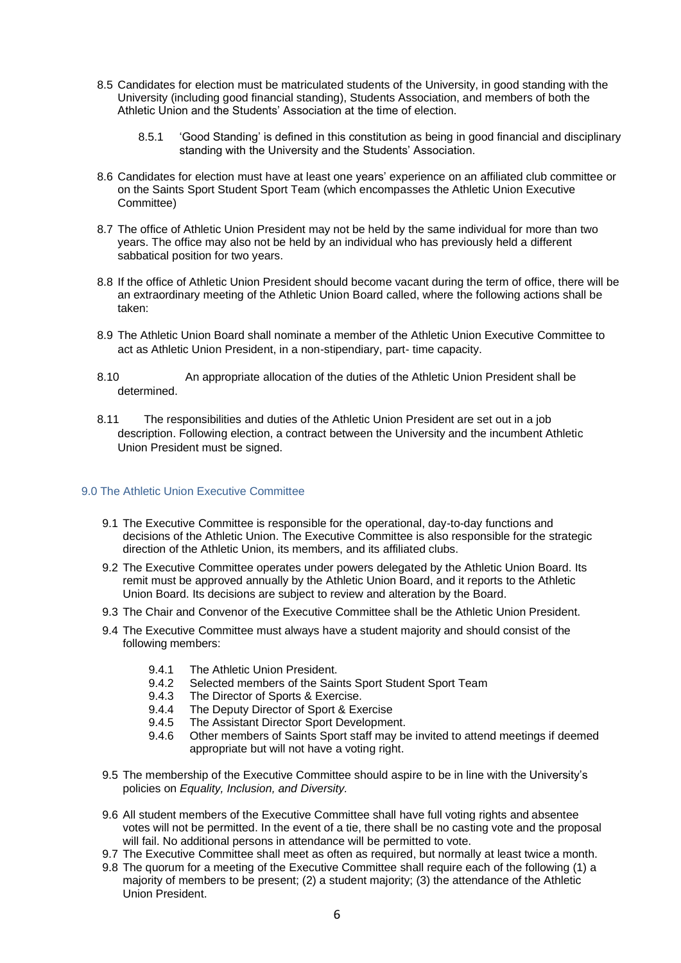- 8.5 Candidates for election must be matriculated students of the University, in good standing with the University (including good financial standing), Students Association, and members of both the Athletic Union and the Students' Association at the time of election.
	- 8.5.1 'Good Standing' is defined in this constitution as being in good financial and disciplinary standing with the University and the Students' Association.
- 8.6 Candidates for election must have at least one years' experience on an affiliated club committee or on the Saints Sport Student Sport Team (which encompasses the Athletic Union Executive Committee)
- 8.7 The office of Athletic Union President may not be held by the same individual for more than two years. The office may also not be held by an individual who has previously held a different sabbatical position for two years.
- 8.8 If the office of Athletic Union President should become vacant during the term of office, there will be an extraordinary meeting of the Athletic Union Board called, where the following actions shall be taken:
- 8.9 The Athletic Union Board shall nominate a member of the Athletic Union Executive Committee to act as Athletic Union President, in a non-stipendiary, part- time capacity.
- 8.10 An appropriate allocation of the duties of the Athletic Union President shall be determined.
- 8.11 The responsibilities and duties of the Athletic Union President are set out in a job description. Following election, a contract between the University and the incumbent Athletic Union President must be signed.

# <span id="page-5-0"></span>9.0 The Athletic Union Executive Committee

- 9.1 The Executive Committee is responsible for the operational, day-to-day functions and decisions of the Athletic Union. The Executive Committee is also responsible for the strategic direction of the Athletic Union, its members, and its affiliated clubs.
- 9.2 The Executive Committee operates under powers delegated by the Athletic Union Board. Its remit must be approved annually by the Athletic Union Board, and it reports to the Athletic Union Board. Its decisions are subject to review and alteration by the Board.
- 9.3 The Chair and Convenor of the Executive Committee shall be the Athletic Union President.
- 9.4 The Executive Committee must always have a student majority and should consist of the following members:
	- 9.4.1 The Athletic Union President.
	- 9.4.2 Selected members of the Saints Sport Student Sport Team
	- 9.4.3 The Director of Sports & Exercise.
	- 9.4.4 The Deputy Director of Sport & Exercise
	- 9.4.5 The Assistant Director Sport Development.
	- 9.4.6 Other members of Saints Sport staff may be invited to attend meetings if deemed appropriate but will not have a voting right.
- 9.5 The membership of the Executive Committee should aspire to be in line with the University's policies on *Equality, Inclusion, and Diversity.*
- 9.6 All student members of the Executive Committee shall have full voting rights and absentee votes will not be permitted. In the event of a tie, there shall be no casting vote and the proposal will fail. No additional persons in attendance will be permitted to vote.
- 9.7 The Executive Committee shall meet as often as required, but normally at least twice a month.
- 9.8 The quorum for a meeting of the Executive Committee shall require each of the following (1) a majority of members to be present; (2) a student majority; (3) the attendance of the Athletic Union President.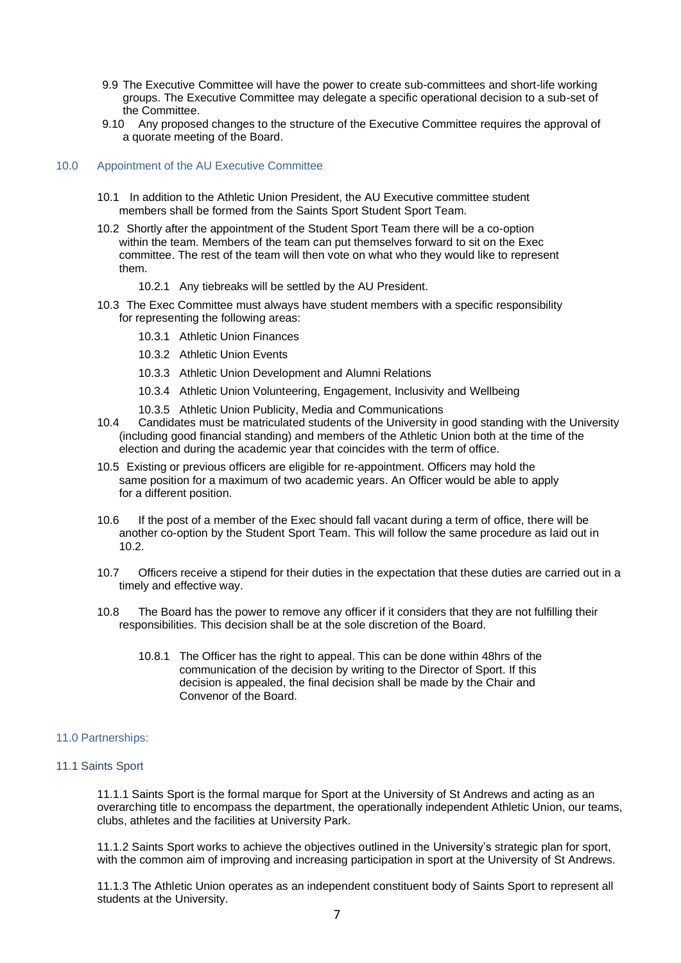- 9.9 The Executive Committee will have the power to create sub-committees and short-life working groups. The Executive Committee may delegate a specific operational decision to a sub-set of the Committee.
- 9.10 Any proposed changes to the structure of the Executive Committee requires the approval of a quorate meeting of the Board.

### <span id="page-6-0"></span>10.0 Appointment of the AU Executive Committee

- 10.1 In addition to the Athletic Union President, the AU Executive committee student members shall be formed from the Saints Sport Student Sport Team.
- 10.2 Shortly after the appointment of the Student Sport Team there will be a co-option within the team. Members of the team can put themselves forward to sit on the Exec committee. The rest of the team will then vote on what who they would like to represent them.
	- 10.2.1 Any tiebreaks will be settled by the AU President.
- 10.3 The Exec Committee must always have student members with a specific responsibility for representing the following areas:
	- 10.3.1 Athletic Union Finances
	- 10.3.2 Athletic Union Events
	- 10.3.3 Athletic Union Development and Alumni Relations
	- 10.3.4 Athletic Union Volunteering, Engagement, Inclusivity and Wellbeing
	- 10.3.5 Athletic Union Publicity, Media and Communications
- 10.4 Candidates must be matriculated students of the University in good standing with the University (including good financial standing) and members of the Athletic Union both at the time of the election and during the academic year that coincides with the term of office.
- 10.5 Existing or previous officers are eligible for re-appointment. Officers may hold the same position for a maximum of two academic years. An Officer would be able to apply for a different position.
- 10.6 If the post of a member of the Exec should fall vacant during a term of office, there will be another co-option by the Student Sport Team. This will follow the same procedure as laid out in 10.2.
- 10.7 Officers receive a stipend for their duties in the expectation that these duties are carried out in a timely and effective way.
- 10.8 The Board has the power to remove any officer if it considers that they are not fulfilling their responsibilities. This decision shall be at the sole discretion of the Board.
	- 10.8.1 The Officer has the right to appeal. This can be done within 48hrs of the communication of the decision by writing to the Director of Sport. If this decision is appealed, the final decision shall be made by the Chair and Convenor of the Board.

### <span id="page-6-1"></span>11.0 Partnerships:

### <span id="page-6-2"></span>11.1 Saints Sport

11.1.1 Saints Sport is the formal marque for Sport at the University of St Andrews and acting as an overarching title to encompass the department, the operationally independent Athletic Union, our teams, clubs, athletes and the facilities at University Park.

11.1.2 Saints Sport works to achieve the objectives outlined in the University's strategic plan for sport, with the common aim of improving and increasing participation in sport at the University of St Andrews.

11.1.3 The Athletic Union operates as an independent constituent body of Saints Sport to represent all students at the University.